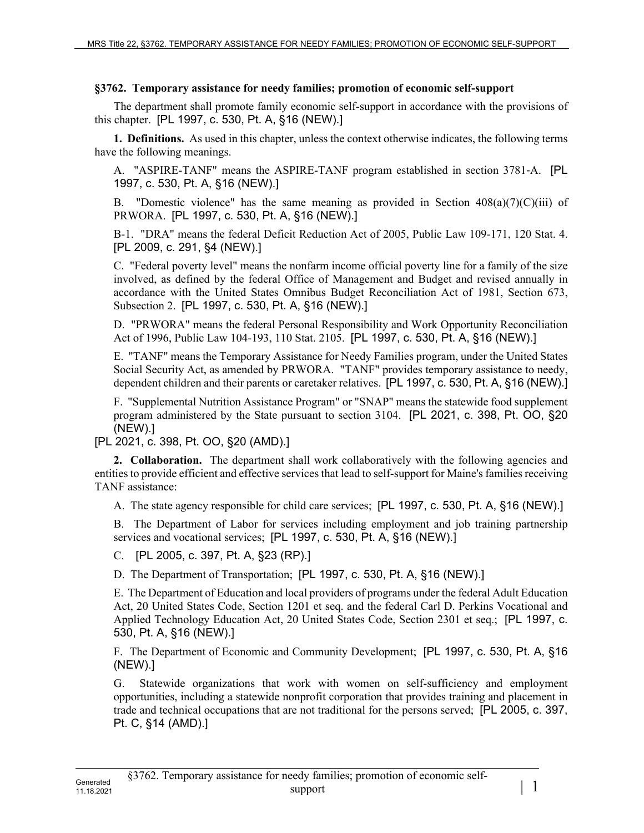## **§3762. Temporary assistance for needy families; promotion of economic self-support**

The department shall promote family economic self-support in accordance with the provisions of this chapter. [PL 1997, c. 530, Pt. A, §16 (NEW).]

**1. Definitions.** As used in this chapter, unless the context otherwise indicates, the following terms have the following meanings.

A. "ASPIRE-TANF" means the ASPIRE-TANF program established in section 3781-A. [PL 1997, c. 530, Pt. A, §16 (NEW).]

B. "Domestic violence" has the same meaning as provided in Section  $408(a)(7)(C)(iii)$  of PRWORA. [PL 1997, c. 530, Pt. A, §16 (NEW).]

B-1. "DRA" means the federal Deficit Reduction Act of 2005, Public Law 109-171, 120 Stat. 4. [PL 2009, c. 291, §4 (NEW).]

C. "Federal poverty level" means the nonfarm income official poverty line for a family of the size involved, as defined by the federal Office of Management and Budget and revised annually in accordance with the United States Omnibus Budget Reconciliation Act of 1981, Section 673, Subsection 2. [PL 1997, c. 530, Pt. A, §16 (NEW).]

D. "PRWORA" means the federal Personal Responsibility and Work Opportunity Reconciliation Act of 1996, Public Law 104-193, 110 Stat. 2105. [PL 1997, c. 530, Pt. A, §16 (NEW).]

E. "TANF" means the Temporary Assistance for Needy Families program, under the United States Social Security Act, as amended by PRWORA. "TANF" provides temporary assistance to needy, dependent children and their parents or caretaker relatives. [PL 1997, c. 530, Pt. A, §16 (NEW).]

F. "Supplemental Nutrition Assistance Program" or "SNAP" means the statewide food supplement program administered by the State pursuant to section 3104. [PL 2021, c. 398, Pt. OO, §20 (NEW).]

[PL 2021, c. 398, Pt. OO, §20 (AMD).]

**2. Collaboration.** The department shall work collaboratively with the following agencies and entities to provide efficient and effective services that lead to self-support for Maine's families receiving TANF assistance:

A. The state agency responsible for child care services; [PL 1997, c. 530, Pt. A, §16 (NEW).]

B. The Department of Labor for services including employment and job training partnership services and vocational services; [PL 1997, c. 530, Pt. A, §16 (NEW).]

C. [PL 2005, c. 397, Pt. A, §23 (RP).]

D. The Department of Transportation; [PL 1997, c. 530, Pt. A, §16 (NEW).]

E. The Department of Education and local providers of programs under the federal Adult Education Act, 20 United States Code, Section 1201 et seq. and the federal Carl D. Perkins Vocational and Applied Technology Education Act, 20 United States Code, Section 2301 et seq.; [PL 1997, c. 530, Pt. A, §16 (NEW).]

F. The Department of Economic and Community Development; [PL 1997, c. 530, Pt. A, §16 (NEW).]

G. Statewide organizations that work with women on self-sufficiency and employment opportunities, including a statewide nonprofit corporation that provides training and placement in trade and technical occupations that are not traditional for the persons served; [PL 2005, c. 397, Pt. C, §14 (AMD).]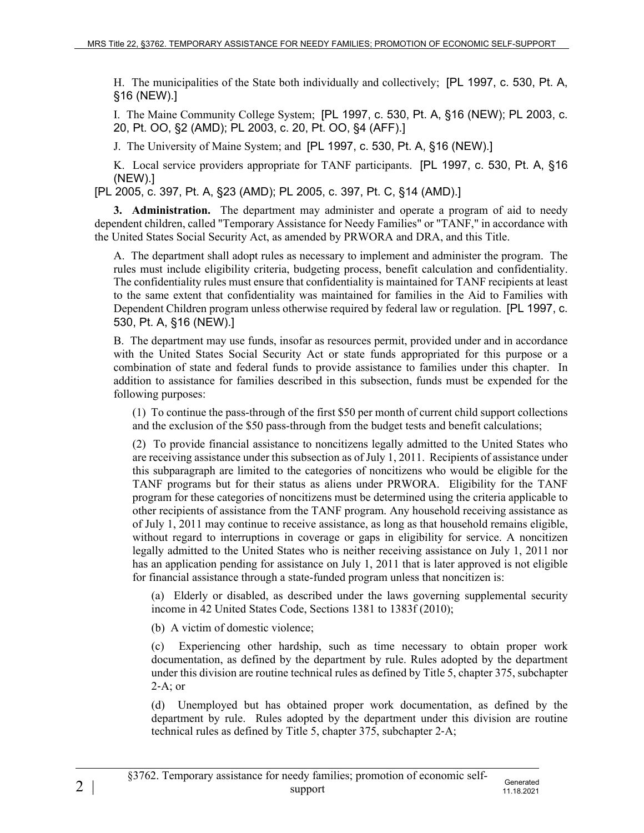H. The municipalities of the State both individually and collectively; [PL 1997, c. 530, Pt. A, §16 (NEW).]

I. The Maine Community College System; [PL 1997, c. 530, Pt. A, §16 (NEW); PL 2003, c. 20, Pt. OO, §2 (AMD); PL 2003, c. 20, Pt. OO, §4 (AFF).]

J. The University of Maine System; and [PL 1997, c. 530, Pt. A, §16 (NEW).]

K. Local service providers appropriate for TANF participants. [PL 1997, c. 530, Pt. A, §16 (NEW).]

[PL 2005, c. 397, Pt. A, §23 (AMD); PL 2005, c. 397, Pt. C, §14 (AMD).]

**3. Administration.** The department may administer and operate a program of aid to needy dependent children, called "Temporary Assistance for Needy Families" or "TANF," in accordance with the United States Social Security Act, as amended by PRWORA and DRA, and this Title.

A. The department shall adopt rules as necessary to implement and administer the program. The rules must include eligibility criteria, budgeting process, benefit calculation and confidentiality. The confidentiality rules must ensure that confidentiality is maintained for TANF recipients at least to the same extent that confidentiality was maintained for families in the Aid to Families with Dependent Children program unless otherwise required by federal law or regulation. [PL 1997, c. 530, Pt. A, §16 (NEW).]

B. The department may use funds, insofar as resources permit, provided under and in accordance with the United States Social Security Act or state funds appropriated for this purpose or a combination of state and federal funds to provide assistance to families under this chapter. In addition to assistance for families described in this subsection, funds must be expended for the following purposes:

(1) To continue the pass-through of the first \$50 per month of current child support collections and the exclusion of the \$50 pass-through from the budget tests and benefit calculations;

(2) To provide financial assistance to noncitizens legally admitted to the United States who are receiving assistance under this subsection as of July 1, 2011. Recipients of assistance under this subparagraph are limited to the categories of noncitizens who would be eligible for the TANF programs but for their status as aliens under PRWORA. Eligibility for the TANF program for these categories of noncitizens must be determined using the criteria applicable to other recipients of assistance from the TANF program. Any household receiving assistance as of July 1, 2011 may continue to receive assistance, as long as that household remains eligible, without regard to interruptions in coverage or gaps in eligibility for service. A noncitizen legally admitted to the United States who is neither receiving assistance on July 1, 2011 nor has an application pending for assistance on July 1, 2011 that is later approved is not eligible for financial assistance through a state-funded program unless that noncitizen is:

(a) Elderly or disabled, as described under the laws governing supplemental security income in 42 United States Code, Sections 1381 to 1383f (2010);

(b) A victim of domestic violence;

(c) Experiencing other hardship, such as time necessary to obtain proper work documentation, as defined by the department by rule. Rules adopted by the department under this division are routine technical rules as defined by Title 5, chapter 375, subchapter  $2-A$ ; or

(d) Unemployed but has obtained proper work documentation, as defined by the department by rule. Rules adopted by the department under this division are routine technical rules as defined by Title 5, chapter 375, subchapter 2‑A;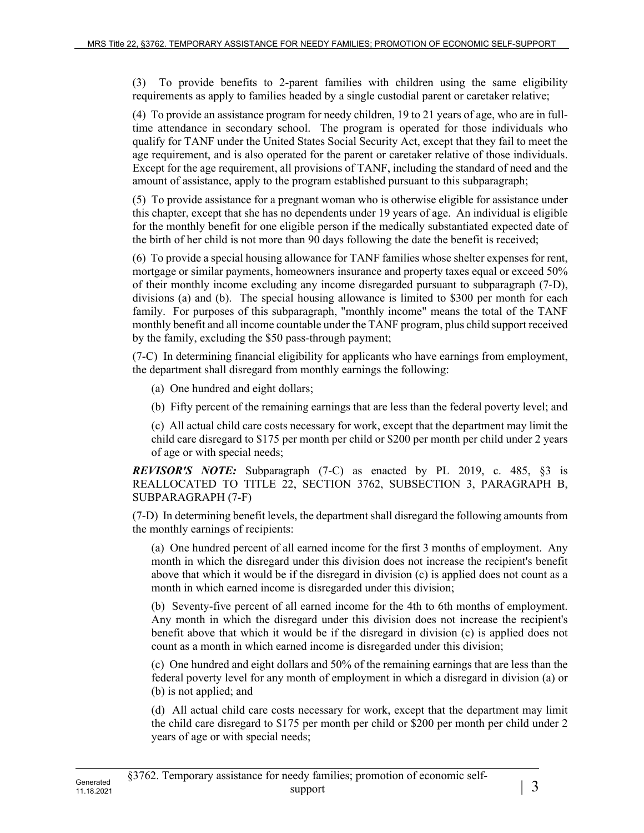(3) To provide benefits to 2-parent families with children using the same eligibility requirements as apply to families headed by a single custodial parent or caretaker relative;

(4) To provide an assistance program for needy children, 19 to 21 years of age, who are in fulltime attendance in secondary school. The program is operated for those individuals who qualify for TANF under the United States Social Security Act, except that they fail to meet the age requirement, and is also operated for the parent or caretaker relative of those individuals. Except for the age requirement, all provisions of TANF, including the standard of need and the amount of assistance, apply to the program established pursuant to this subparagraph;

(5) To provide assistance for a pregnant woman who is otherwise eligible for assistance under this chapter, except that she has no dependents under 19 years of age. An individual is eligible for the monthly benefit for one eligible person if the medically substantiated expected date of the birth of her child is not more than 90 days following the date the benefit is received;

(6) To provide a special housing allowance for TANF families whose shelter expenses for rent, mortgage or similar payments, homeowners insurance and property taxes equal or exceed 50% of their monthly income excluding any income disregarded pursuant to subparagraph (7‑D), divisions (a) and (b). The special housing allowance is limited to \$300 per month for each family. For purposes of this subparagraph, "monthly income" means the total of the TANF monthly benefit and all income countable under the TANF program, plus child support received by the family, excluding the \$50 pass-through payment;

(7-C) In determining financial eligibility for applicants who have earnings from employment, the department shall disregard from monthly earnings the following:

- (a) One hundred and eight dollars;
- (b) Fifty percent of the remaining earnings that are less than the federal poverty level; and

(c) All actual child care costs necessary for work, except that the department may limit the child care disregard to \$175 per month per child or \$200 per month per child under 2 years of age or with special needs;

*REVISOR'S NOTE:* Subparagraph (7-C) as enacted by PL 2019, c. 485, §3 is REALLOCATED TO TITLE 22, SECTION 3762, SUBSECTION 3, PARAGRAPH B, SUBPARAGRAPH (7-F)

(7-D) In determining benefit levels, the department shall disregard the following amounts from the monthly earnings of recipients:

(a) One hundred percent of all earned income for the first 3 months of employment. Any month in which the disregard under this division does not increase the recipient's benefit above that which it would be if the disregard in division (c) is applied does not count as a month in which earned income is disregarded under this division;

(b) Seventy-five percent of all earned income for the 4th to 6th months of employment. Any month in which the disregard under this division does not increase the recipient's benefit above that which it would be if the disregard in division (c) is applied does not count as a month in which earned income is disregarded under this division;

(c) One hundred and eight dollars and 50% of the remaining earnings that are less than the federal poverty level for any month of employment in which a disregard in division (a) or (b) is not applied; and

(d) All actual child care costs necessary for work, except that the department may limit the child care disregard to \$175 per month per child or \$200 per month per child under 2 years of age or with special needs;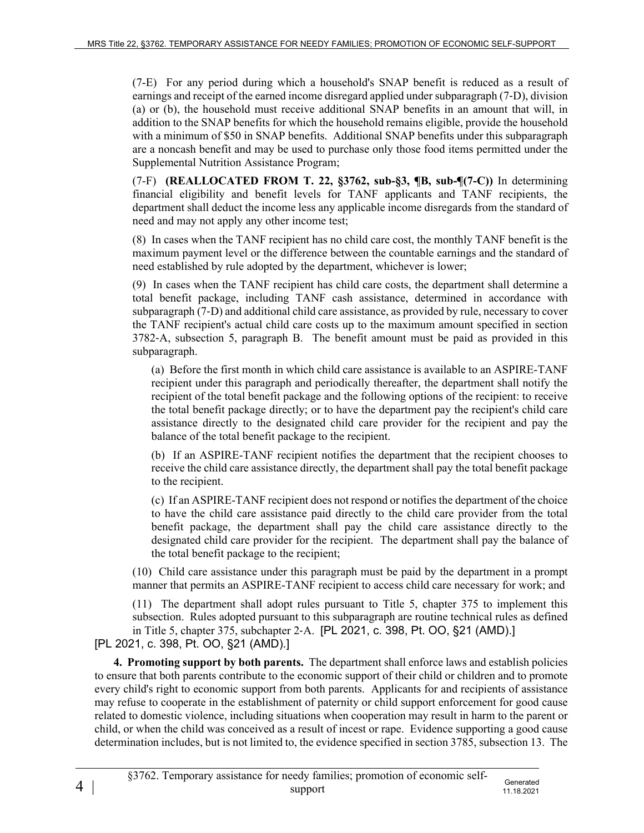(7-E) For any period during which a household's SNAP benefit is reduced as a result of earnings and receipt of the earned income disregard applied under subparagraph (7‑D), division (a) or (b), the household must receive additional SNAP benefits in an amount that will, in addition to the SNAP benefits for which the household remains eligible, provide the household with a minimum of \$50 in SNAP benefits. Additional SNAP benefits under this subparagraph are a noncash benefit and may be used to purchase only those food items permitted under the Supplemental Nutrition Assistance Program;

(7-F) **(REALLOCATED FROM T. 22, §3762, sub-§3, ¶B, sub-¶(7-C))** In determining financial eligibility and benefit levels for TANF applicants and TANF recipients, the department shall deduct the income less any applicable income disregards from the standard of need and may not apply any other income test;

(8) In cases when the TANF recipient has no child care cost, the monthly TANF benefit is the maximum payment level or the difference between the countable earnings and the standard of need established by rule adopted by the department, whichever is lower;

(9) In cases when the TANF recipient has child care costs, the department shall determine a total benefit package, including TANF cash assistance, determined in accordance with subparagraph (7‑D) and additional child care assistance, as provided by rule, necessary to cover the TANF recipient's actual child care costs up to the maximum amount specified in section 3782‑A, subsection 5, paragraph B. The benefit amount must be paid as provided in this subparagraph.

(a) Before the first month in which child care assistance is available to an ASPIRE-TANF recipient under this paragraph and periodically thereafter, the department shall notify the recipient of the total benefit package and the following options of the recipient: to receive the total benefit package directly; or to have the department pay the recipient's child care assistance directly to the designated child care provider for the recipient and pay the balance of the total benefit package to the recipient.

(b) If an ASPIRE-TANF recipient notifies the department that the recipient chooses to receive the child care assistance directly, the department shall pay the total benefit package to the recipient.

(c) If an ASPIRE-TANF recipient does not respond or notifies the department of the choice to have the child care assistance paid directly to the child care provider from the total benefit package, the department shall pay the child care assistance directly to the designated child care provider for the recipient. The department shall pay the balance of the total benefit package to the recipient;

(10) Child care assistance under this paragraph must be paid by the department in a prompt manner that permits an ASPIRE-TANF recipient to access child care necessary for work; and

(11) The department shall adopt rules pursuant to Title 5, chapter 375 to implement this subsection. Rules adopted pursuant to this subparagraph are routine technical rules as defined in Title 5, chapter 375, subchapter 2‑A. [PL 2021, c. 398, Pt. OO, §21 (AMD).]

[PL 2021, c. 398, Pt. OO, §21 (AMD).]

4 |

**4. Promoting support by both parents.** The department shall enforce laws and establish policies to ensure that both parents contribute to the economic support of their child or children and to promote every child's right to economic support from both parents. Applicants for and recipients of assistance may refuse to cooperate in the establishment of paternity or child support enforcement for good cause related to domestic violence, including situations when cooperation may result in harm to the parent or child, or when the child was conceived as a result of incest or rape. Evidence supporting a good cause determination includes, but is not limited to, the evidence specified in section 3785, subsection 13. The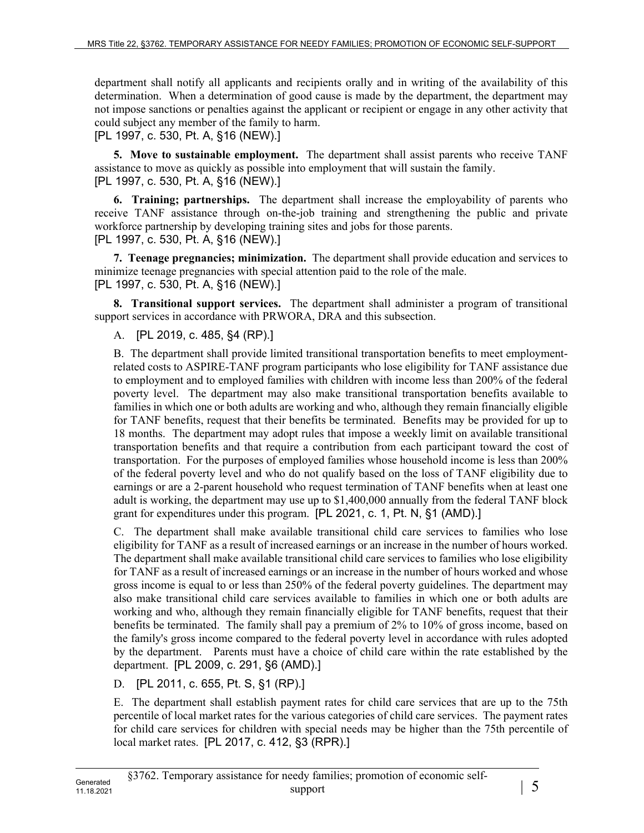department shall notify all applicants and recipients orally and in writing of the availability of this determination. When a determination of good cause is made by the department, the department may not impose sanctions or penalties against the applicant or recipient or engage in any other activity that could subject any member of the family to harm.

[PL 1997, c. 530, Pt. A, §16 (NEW).]

**5. Move to sustainable employment.** The department shall assist parents who receive TANF assistance to move as quickly as possible into employment that will sustain the family. [PL 1997, c. 530, Pt. A, §16 (NEW).]

**6. Training; partnerships.** The department shall increase the employability of parents who receive TANF assistance through on-the-job training and strengthening the public and private workforce partnership by developing training sites and jobs for those parents. [PL 1997, c. 530, Pt. A, §16 (NEW).]

**7. Teenage pregnancies; minimization.** The department shall provide education and services to minimize teenage pregnancies with special attention paid to the role of the male. [PL 1997, c. 530, Pt. A, §16 (NEW).]

**8. Transitional support services.** The department shall administer a program of transitional support services in accordance with PRWORA, DRA and this subsection.

A. [PL 2019, c. 485, §4 (RP).]

B. The department shall provide limited transitional transportation benefits to meet employmentrelated costs to ASPIRE-TANF program participants who lose eligibility for TANF assistance due to employment and to employed families with children with income less than 200% of the federal poverty level. The department may also make transitional transportation benefits available to families in which one or both adults are working and who, although they remain financially eligible for TANF benefits, request that their benefits be terminated. Benefits may be provided for up to 18 months. The department may adopt rules that impose a weekly limit on available transitional transportation benefits and that require a contribution from each participant toward the cost of transportation. For the purposes of employed families whose household income is less than 200% of the federal poverty level and who do not qualify based on the loss of TANF eligibility due to earnings or are a 2-parent household who request termination of TANF benefits when at least one adult is working, the department may use up to \$1,400,000 annually from the federal TANF block grant for expenditures under this program. [PL 2021, c. 1, Pt. N, §1 (AMD).]

C. The department shall make available transitional child care services to families who lose eligibility for TANF as a result of increased earnings or an increase in the number of hours worked. The department shall make available transitional child care services to families who lose eligibility for TANF as a result of increased earnings or an increase in the number of hours worked and whose gross income is equal to or less than 250% of the federal poverty guidelines. The department may also make transitional child care services available to families in which one or both adults are working and who, although they remain financially eligible for TANF benefits, request that their benefits be terminated. The family shall pay a premium of 2% to 10% of gross income, based on the family's gross income compared to the federal poverty level in accordance with rules adopted by the department. Parents must have a choice of child care within the rate established by the department. [PL 2009, c. 291, §6 (AMD).]

D. [PL 2011, c. 655, Pt. S, §1 (RP).]

E. The department shall establish payment rates for child care services that are up to the 75th percentile of local market rates for the various categories of child care services. The payment rates for child care services for children with special needs may be higher than the 75th percentile of local market rates. [PL 2017, c. 412, §3 (RPR).]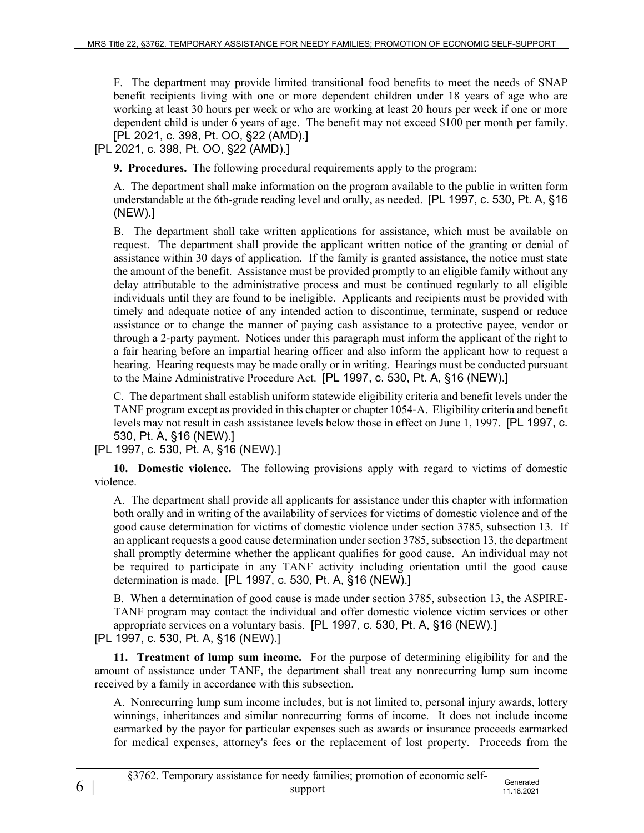F. The department may provide limited transitional food benefits to meet the needs of SNAP benefit recipients living with one or more dependent children under 18 years of age who are working at least 30 hours per week or who are working at least 20 hours per week if one or more dependent child is under 6 years of age. The benefit may not exceed \$100 per month per family. [PL 2021, c. 398, Pt. OO, §22 (AMD).]

[PL 2021, c. 398, Pt. OO, §22 (AMD).]

**9. Procedures.** The following procedural requirements apply to the program:

A. The department shall make information on the program available to the public in written form understandable at the 6th-grade reading level and orally, as needed. [PL 1997, c. 530, Pt. A, §16 (NEW).]

B. The department shall take written applications for assistance, which must be available on request. The department shall provide the applicant written notice of the granting or denial of assistance within 30 days of application. If the family is granted assistance, the notice must state the amount of the benefit. Assistance must be provided promptly to an eligible family without any delay attributable to the administrative process and must be continued regularly to all eligible individuals until they are found to be ineligible. Applicants and recipients must be provided with timely and adequate notice of any intended action to discontinue, terminate, suspend or reduce assistance or to change the manner of paying cash assistance to a protective payee, vendor or through a 2-party payment. Notices under this paragraph must inform the applicant of the right to a fair hearing before an impartial hearing officer and also inform the applicant how to request a hearing. Hearing requests may be made orally or in writing. Hearings must be conducted pursuant to the Maine Administrative Procedure Act. [PL 1997, c. 530, Pt. A, §16 (NEW).]

C. The department shall establish uniform statewide eligibility criteria and benefit levels under the TANF program except as provided in this chapter or chapter 1054‑A. Eligibility criteria and benefit levels may not result in cash assistance levels below those in effect on June 1, 1997. [PL 1997, c. 530, Pt. A, §16 (NEW).]

[PL 1997, c. 530, Pt. A, §16 (NEW).]

**10. Domestic violence.** The following provisions apply with regard to victims of domestic violence.

A. The department shall provide all applicants for assistance under this chapter with information both orally and in writing of the availability of services for victims of domestic violence and of the good cause determination for victims of domestic violence under section 3785, subsection 13. If an applicant requests a good cause determination under section 3785, subsection 13, the department shall promptly determine whether the applicant qualifies for good cause. An individual may not be required to participate in any TANF activity including orientation until the good cause determination is made. [PL 1997, c. 530, Pt. A, §16 (NEW).]

B. When a determination of good cause is made under section 3785, subsection 13, the ASPIRE-TANF program may contact the individual and offer domestic violence victim services or other appropriate services on a voluntary basis. [PL 1997, c. 530, Pt. A, §16 (NEW).]

[PL 1997, c. 530, Pt. A, §16 (NEW).]

**11. Treatment of lump sum income.** For the purpose of determining eligibility for and the amount of assistance under TANF, the department shall treat any nonrecurring lump sum income received by a family in accordance with this subsection.

A. Nonrecurring lump sum income includes, but is not limited to, personal injury awards, lottery winnings, inheritances and similar nonrecurring forms of income. It does not include income earmarked by the payor for particular expenses such as awards or insurance proceeds earmarked for medical expenses, attorney's fees or the replacement of lost property. Proceeds from the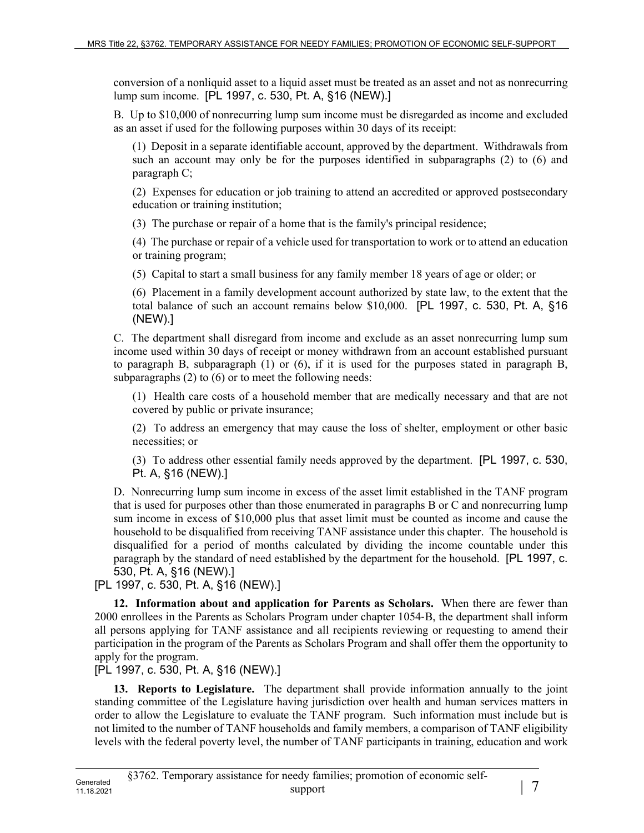conversion of a nonliquid asset to a liquid asset must be treated as an asset and not as nonrecurring lump sum income. [PL 1997, c. 530, Pt. A, §16 (NEW).]

B. Up to \$10,000 of nonrecurring lump sum income must be disregarded as income and excluded as an asset if used for the following purposes within 30 days of its receipt:

(1) Deposit in a separate identifiable account, approved by the department. Withdrawals from such an account may only be for the purposes identified in subparagraphs (2) to (6) and paragraph C;

(2) Expenses for education or job training to attend an accredited or approved postsecondary education or training institution;

(3) The purchase or repair of a home that is the family's principal residence;

(4) The purchase or repair of a vehicle used for transportation to work or to attend an education or training program;

(5) Capital to start a small business for any family member 18 years of age or older; or

(6) Placement in a family development account authorized by state law, to the extent that the total balance of such an account remains below \$10,000. [PL 1997, c. 530, Pt. A, §16 (NEW).]

C. The department shall disregard from income and exclude as an asset nonrecurring lump sum income used within 30 days of receipt or money withdrawn from an account established pursuant to paragraph B, subparagraph (1) or (6), if it is used for the purposes stated in paragraph B, subparagraphs (2) to (6) or to meet the following needs:

(1) Health care costs of a household member that are medically necessary and that are not covered by public or private insurance;

(2) To address an emergency that may cause the loss of shelter, employment or other basic necessities; or

(3) To address other essential family needs approved by the department. [PL 1997, c. 530, Pt. A, §16 (NEW).]

D. Nonrecurring lump sum income in excess of the asset limit established in the TANF program that is used for purposes other than those enumerated in paragraphs B or C and nonrecurring lump sum income in excess of \$10,000 plus that asset limit must be counted as income and cause the household to be disqualified from receiving TANF assistance under this chapter. The household is disqualified for a period of months calculated by dividing the income countable under this paragraph by the standard of need established by the department for the household. [PL 1997, c. 530, Pt. A, §16 (NEW).]

[PL 1997, c. 530, Pt. A, §16 (NEW).]

**12. Information about and application for Parents as Scholars.** When there are fewer than 2000 enrollees in the Parents as Scholars Program under chapter 1054‑B, the department shall inform all persons applying for TANF assistance and all recipients reviewing or requesting to amend their participation in the program of the Parents as Scholars Program and shall offer them the opportunity to apply for the program.

[PL 1997, c. 530, Pt. A, §16 (NEW).]

**13. Reports to Legislature.** The department shall provide information annually to the joint standing committee of the Legislature having jurisdiction over health and human services matters in order to allow the Legislature to evaluate the TANF program. Such information must include but is not limited to the number of TANF households and family members, a comparison of TANF eligibility levels with the federal poverty level, the number of TANF participants in training, education and work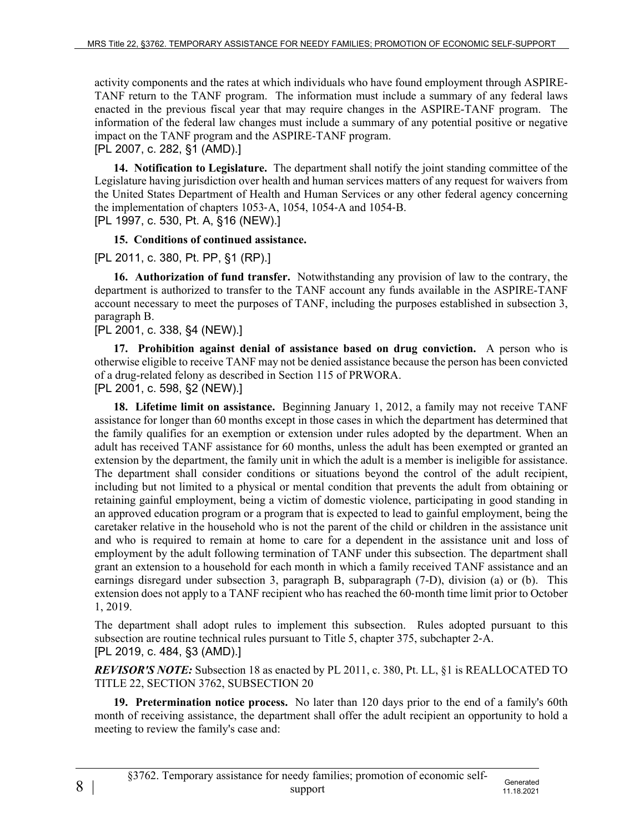activity components and the rates at which individuals who have found employment through ASPIRE-TANF return to the TANF program. The information must include a summary of any federal laws enacted in the previous fiscal year that may require changes in the ASPIRE-TANF program. The information of the federal law changes must include a summary of any potential positive or negative impact on the TANF program and the ASPIRE-TANF program.

[PL 2007, c. 282, §1 (AMD).]

**14. Notification to Legislature.** The department shall notify the joint standing committee of the Legislature having jurisdiction over health and human services matters of any request for waivers from the United States Department of Health and Human Services or any other federal agency concerning the implementation of chapters 1053‑A, 1054, 1054‑A and 1054‑B.

[PL 1997, c. 530, Pt. A, §16 (NEW).]

## **15. Conditions of continued assistance.**

[PL 2011, c. 380, Pt. PP, §1 (RP).]

**16. Authorization of fund transfer.** Notwithstanding any provision of law to the contrary, the department is authorized to transfer to the TANF account any funds available in the ASPIRE-TANF account necessary to meet the purposes of TANF, including the purposes established in subsection 3, paragraph B.

## [PL 2001, c. 338, §4 (NEW).]

**17. Prohibition against denial of assistance based on drug conviction.** A person who is otherwise eligible to receive TANF may not be denied assistance because the person has been convicted of a drug-related felony as described in Section 115 of PRWORA. [PL 2001, c. 598, §2 (NEW).]

**18. Lifetime limit on assistance.** Beginning January 1, 2012, a family may not receive TANF assistance for longer than 60 months except in those cases in which the department has determined that the family qualifies for an exemption or extension under rules adopted by the department. When an adult has received TANF assistance for 60 months, unless the adult has been exempted or granted an extension by the department, the family unit in which the adult is a member is ineligible for assistance. The department shall consider conditions or situations beyond the control of the adult recipient, including but not limited to a physical or mental condition that prevents the adult from obtaining or retaining gainful employment, being a victim of domestic violence, participating in good standing in an approved education program or a program that is expected to lead to gainful employment, being the caretaker relative in the household who is not the parent of the child or children in the assistance unit and who is required to remain at home to care for a dependent in the assistance unit and loss of employment by the adult following termination of TANF under this subsection. The department shall grant an extension to a household for each month in which a family received TANF assistance and an earnings disregard under subsection 3, paragraph B, subparagraph (7-D), division (a) or (b). This extension does not apply to a TANF recipient who has reached the 60‑month time limit prior to October 1, 2019.

The department shall adopt rules to implement this subsection. Rules adopted pursuant to this subsection are routine technical rules pursuant to Title 5, chapter 375, subchapter 2‑A. [PL 2019, c. 484, §3 (AMD).]

*REVISOR'S NOTE:* Subsection 18 as enacted by PL 2011, c. 380, Pt. LL, §1 is REALLOCATED TO TITLE 22, SECTION 3762, SUBSECTION 20

**19. Pretermination notice process.** No later than 120 days prior to the end of a family's 60th month of receiving assistance, the department shall offer the adult recipient an opportunity to hold a meeting to review the family's case and: